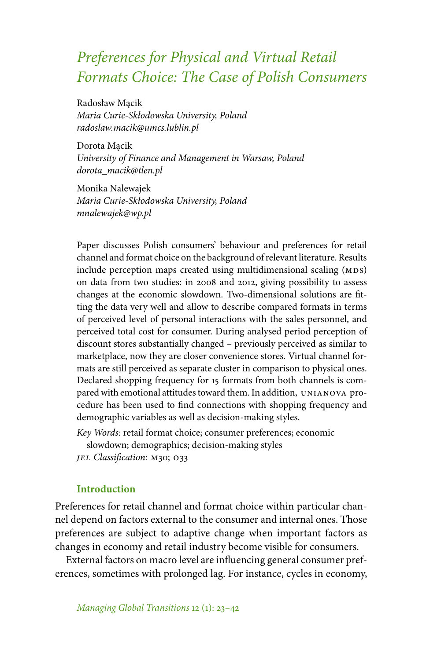# *Preferences for Physical and Virtual Retail Formats Choice: The Case of Polish Consumers*

Radosław M˛acik *Maria Curie-Skłodowska University, Poland radoslaw.macik@umcs.lublin.pl*

Dorota Macik *University of Finance and Management in Warsaw, Poland dorota\_macik@tlen.pl*

Monika Nalewajek *Maria Curie-Skłodowska University, Poland mnalewajek@wp.pl*

Paper discusses Polish consumers' behaviour and preferences for retail channel and format choice on the background of relevant literature. Results include perception maps created using multidimensional scaling (MDS) on data from two studies: in 2008 and 2012, giving possibility to assess changes at the economic slowdown. Two-dimensional solutions are fitting the data very well and allow to describe compared formats in terms of perceived level of personal interactions with the sales personnel, and perceived total cost for consumer. During analysed period perception of discount stores substantially changed – previously perceived as similar to marketplace, now they are closer convenience stores. Virtual channel formats are still perceived as separate cluster in comparison to physical ones. Declared shopping frequency for 15 formats from both channels is compared with emotional attitudes toward them. In addition, unianova procedure has been used to find connections with shopping frequency and demographic variables as well as decision-making styles.

*Key Words:* retail format choice; consumer preferences; economic slowdown; demographics; decision-making styles *jel Classification:* m30; o33

## **Introduction**

Preferences for retail channel and format choice within particular channel depend on factors external to the consumer and internal ones. Those preferences are subject to adaptive change when important factors as changes in economy and retail industry become visible for consumers.

External factors on macro level are influencing general consumer preferences, sometimes with prolonged lag. For instance, cycles in economy,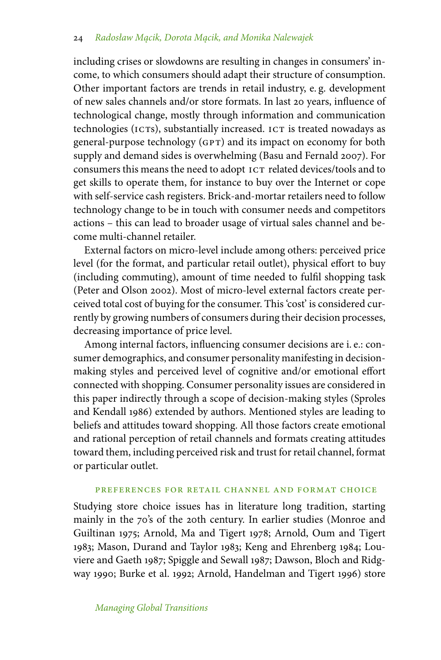including crises or slowdowns are resulting in changes in consumers' income, to which consumers should adapt their structure of consumption. Other important factors are trends in retail industry, e. g. development of new sales channels and/or store formats. In last 20 years, influence of technological change, mostly through information and communication technologies (ICTs), substantially increased. ICT is treated nowadays as general-purpose technology (GPT) and its impact on economy for both supply and demand sides is overwhelming (Basu and Fernald 2007). For consumers this means the need to adopt ICT related devices/tools and to get skills to operate them, for instance to buy over the Internet or cope with self-service cash registers. Brick-and-mortar retailers need to follow technology change to be in touch with consumer needs and competitors actions – this can lead to broader usage of virtual sales channel and become multi-channel retailer.

External factors on micro-level include among others: perceived price level (for the format, and particular retail outlet), physical effort to buy (including commuting), amount of time needed to fulfil shopping task (Peter and Olson 2002). Most of micro-level external factors create perceived total cost of buying for the consumer. This 'cost' is considered currently by growing numbers of consumers during their decision processes, decreasing importance of price level.

Among internal factors, influencing consumer decisions are i. e.: consumer demographics, and consumer personality manifesting in decisionmaking styles and perceived level of cognitive and/or emotional effort connected with shopping. Consumer personality issues are considered in this paper indirectly through a scope of decision-making styles (Sproles and Kendall 1986) extended by authors. Mentioned styles are leading to beliefs and attitudes toward shopping. All those factors create emotional and rational perception of retail channels and formats creating attitudes toward them, including perceived risk and trust for retail channel, format or particular outlet.

#### preferences for retail channel and format choice

Studying store choice issues has in literature long tradition, starting mainly in the 70's of the 20th century. In earlier studies (Monroe and Guiltinan 1975; Arnold, Ma and Tigert 1978; Arnold, Oum and Tigert 1983; Mason, Durand and Taylor 1983; Keng and Ehrenberg 1984; Louviere and Gaeth 1987; Spiggle and Sewall 1987; Dawson, Bloch and Ridgway 1990; Burke et al. 1992; Arnold, Handelman and Tigert 1996) store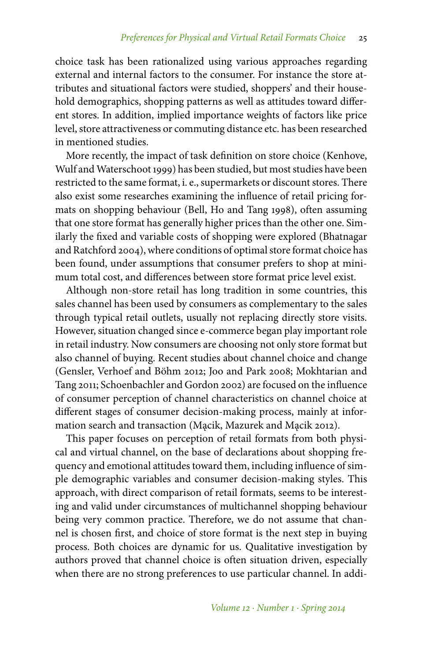choice task has been rationalized using various approaches regarding external and internal factors to the consumer. For instance the store attributes and situational factors were studied, shoppers' and their household demographics, shopping patterns as well as attitudes toward different stores. In addition, implied importance weights of factors like price level, store attractiveness or commuting distance etc. has been researched in mentioned studies.

More recently, the impact of task definition on store choice (Kenhove, Wulf and Waterschoot 1999) has been studied, but most studies have been restricted to the same format, i. e., supermarkets or discount stores. There also exist some researches examining the influence of retail pricing formats on shopping behaviour (Bell, Ho and Tang 1998), often assuming that one store format has generally higher prices than the other one. Similarly the fixed and variable costs of shopping were explored (Bhatnagar and Ratchford 2004), where conditions of optimal store format choice has been found, under assumptions that consumer prefers to shop at minimum total cost, and differences between store format price level exist.

Although non-store retail has long tradition in some countries, this sales channel has been used by consumers as complementary to the sales through typical retail outlets, usually not replacing directly store visits. However, situation changed since e-commerce began play important role in retail industry. Now consumers are choosing not only store format but also channel of buying. Recent studies about channel choice and change (Gensler, Verhoef and Böhm 2012; Joo and Park 2008; Mokhtarian and Tang 2011; Schoenbachler and Gordon 2002) are focused on the influence of consumer perception of channel characteristics on channel choice at different stages of consumer decision-making process, mainly at information search and transaction (Mạcik, Mazurek and Mạcik 2012).

This paper focuses on perception of retail formats from both physical and virtual channel, on the base of declarations about shopping frequency and emotional attitudes toward them, including influence of simple demographic variables and consumer decision-making styles. This approach, with direct comparison of retail formats, seems to be interesting and valid under circumstances of multichannel shopping behaviour being very common practice. Therefore, we do not assume that channel is chosen first, and choice of store format is the next step in buying process. Both choices are dynamic for us. Qualitative investigation by authors proved that channel choice is often situation driven, especially when there are no strong preferences to use particular channel. In addi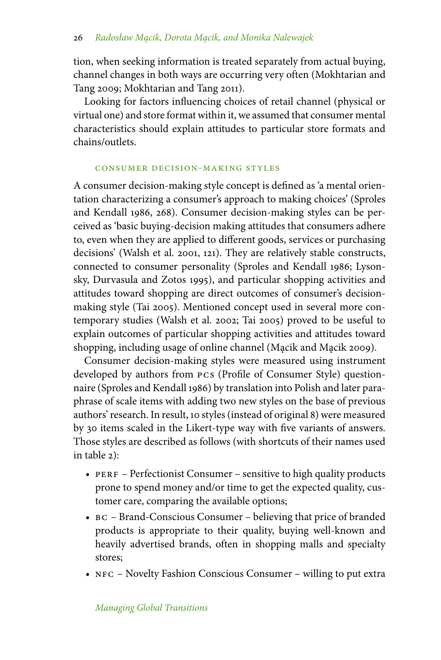tion, when seeking information is treated separately from actual buying, channel changes in both ways are occurring very often (Mokhtarian and Tang 2009; Mokhtarian and Tang 2011).

Looking for factors influencing choices of retail channel (physical or virtual one) and store format within it, we assumed that consumer mental characteristics should explain attitudes to particular store formats and chains/outlets.

#### consumer decision-making styles

A consumer decision-making style concept is defined as 'a mental orientation characterizing a consumer's approach to making choices' (Sproles and Kendall 1986, 268). Consumer decision-making styles can be perceived as 'basic buying-decision making attitudes that consumers adhere to, even when they are applied to different goods, services or purchasing decisions' (Walsh et al. 2001, 121). They are relatively stable constructs, connected to consumer personality (Sproles and Kendall 1986; Lysonsky, Durvasula and Zotos 1995), and particular shopping activities and attitudes toward shopping are direct outcomes of consumer's decisionmaking style (Tai 2005). Mentioned concept used in several more contemporary studies (Walsh et al. 2002; Tai 2005) proved to be useful to explain outcomes of particular shopping activities and attitudes toward shopping, including usage of online channel (Mącik and Mącik 2009).

Consumer decision-making styles were measured using instrument developed by authors from pcs (Profile of Consumer Style) questionnaire (Sproles and Kendall 1986) by translation into Polish and later paraphrase of scale items with adding two new styles on the base of previous authors' research. In result, 10 styles (instead of original 8) were measured by 30 items scaled in the Likert-type way with five variants of answers. Those styles are described as follows (with shortcuts of their names used in table 2):

- PERF Perfectionist Consumer sensitive to high quality products prone to spend money and/or time to get the expected quality, customer care, comparing the available options;
- bc Brand-Conscious Consumer believing that price of branded products is appropriate to their quality, buying well-known and heavily advertised brands, often in shopping malls and specialty stores;
- NFC Novelty Fashion Conscious Consumer willing to put extra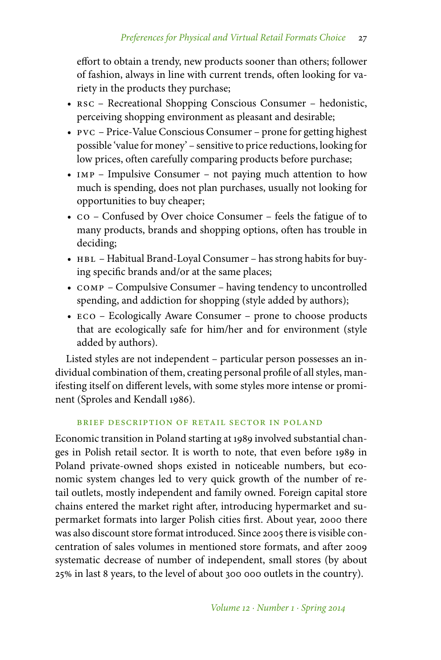effort to obtain a trendy, new products sooner than others; follower of fashion, always in line with current trends, often looking for variety in the products they purchase;

- RSC Recreational Shopping Conscious Consumer hedonistic, perceiving shopping environment as pleasant and desirable;
- pvc Price-Value Conscious Consumer prone for getting highest possible 'value for money' – sensitive to price reductions, looking for low prices, often carefully comparing products before purchase;
- IMP Impulsive Consumer not paying much attention to how much is spending, does not plan purchases, usually not looking for opportunities to buy cheaper;
- co Confused by Over choice Consumer feels the fatigue of to many products, brands and shopping options, often has trouble in deciding;
- HBL Habitual Brand-Loyal Consumer has strong habits for buying specific brands and/or at the same places;
- COMP Compulsive Consumer having tendency to uncontrolled spending, and addiction for shopping (style added by authors);
- ECO Ecologically Aware Consumer prone to choose products that are ecologically safe for him/her and for environment (style added by authors).

Listed styles are not independent – particular person possesses an individual combination of them, creating personal profile of all styles, manifesting itself on different levels, with some styles more intense or prominent (Sproles and Kendall 1986).

# brief description of retail sector in poland

Economic transition in Poland starting at 1989 involved substantial changes in Polish retail sector. It is worth to note, that even before 1989 in Poland private-owned shops existed in noticeable numbers, but economic system changes led to very quick growth of the number of retail outlets, mostly independent and family owned. Foreign capital store chains entered the market right after, introducing hypermarket and supermarket formats into larger Polish cities first. About year, 2000 there was also discount store format introduced. Since 2005 there is visible concentration of sales volumes in mentioned store formats, and after 2009 systematic decrease of number of independent, small stores (by about 25 in last 8 years, to the level of about 300 000 outlets in the country).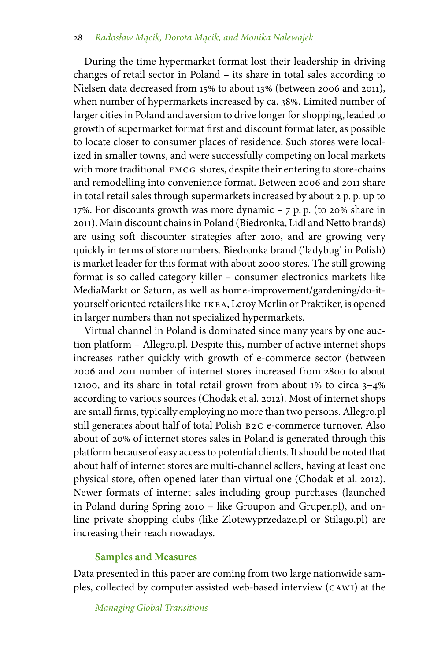During the time hypermarket format lost their leadership in driving changes of retail sector in Poland – its share in total sales according to Nielsen data decreased from 15% to about 13% (between 2006 and 2011), when number of hypermarkets increased by ca. 38%. Limited number of larger cities in Poland and aversion to drive longer for shopping, leaded to growth of supermarket format first and discount format later, as possible to locate closer to consumer places of residence. Such stores were localized in smaller towns, and were successfully competing on local markets with more traditional FMCG stores, despite their entering to store-chains and remodelling into convenience format. Between 2006 and 2011 share in total retail sales through supermarkets increased by about 2 p. p. up to 17%. For discounts growth was more dynamic  $-$  7 p. p. (to 20% share in 2011). Main discount chains in Poland (Biedronka, Lidl and Netto brands) are using soft discounter strategies after 2010, and are growing very quickly in terms of store numbers. Biedronka brand ('ladybug' in Polish) is market leader for this format with about 2000 stores. The still growing format is so called category killer – consumer electronics markets like MediaMarkt or Saturn, as well as home-improvement/gardening/do-ityourself oriented retailers like IKEA, Leroy Merlin or Praktiker, is opened in larger numbers than not specialized hypermarkets.

Virtual channel in Poland is dominated since many years by one auction platform – Allegro.pl. Despite this, number of active internet shops increases rather quickly with growth of e-commerce sector (between 2006 and 2011 number of internet stores increased from 2800 to about 12100, and its share in total retail grown from about 1% to circa  $3-4\%$ according to various sources (Chodak et al. 2012). Most of internet shops are small firms, typically employing no more than two persons. Allegro.pl still generates about half of total Polish b2c e-commerce turnover. Also about of 20% of internet stores sales in Poland is generated through this platform because of easy access to potential clients. It should be noted that about half of internet stores are multi-channel sellers, having at least one physical store, often opened later than virtual one (Chodak et al. 2012). Newer formats of internet sales including group purchases (launched in Poland during Spring 2010 – like Groupon and Gruper.pl), and online private shopping clubs (like Zlotewyprzedaze.pl or Stilago.pl) are increasing their reach nowadays.

# **Samples and Measures**

Data presented in this paper are coming from two large nationwide samples, collected by computer assisted web-based interview (cawi) at the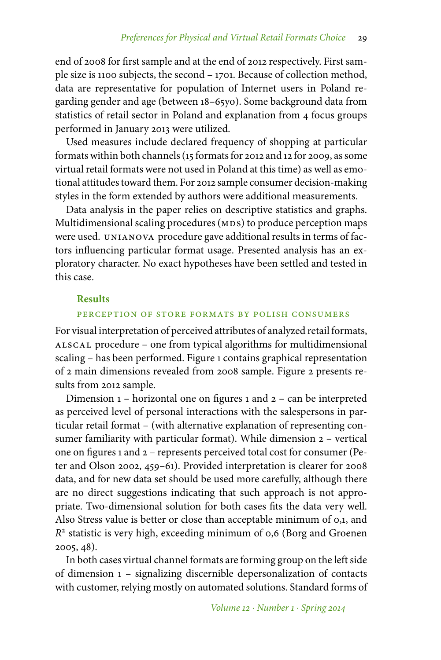end of 2008 for first sample and at the end of 2012 respectively. First sample size is 1100 subjects, the second – 1701. Because of collection method, data are representative for population of Internet users in Poland regarding gender and age (between 18–65yo). Some background data from statistics of retail sector in Poland and explanation from 4 focus groups performed in January 2013 were utilized.

Used measures include declared frequency of shopping at particular formats within both channels (15 formats for 2012 and 12 for 2009, as some virtual retail formats were not used in Poland at this time) as well as emotional attitudes toward them. For 2012 sample consumer decision-making styles in the form extended by authors were additional measurements.

Data analysis in the paper relies on descriptive statistics and graphs. Multidimensional scaling procedures (MDS) to produce perception maps were used. unianova procedure gave additional results in terms of factors influencing particular format usage. Presented analysis has an exploratory character. No exact hypotheses have been settled and tested in this case.

### **Results**

### perception of store formats by polish consumers

For visual interpretation of perceived attributes of analyzed retail formats, alscal procedure – one from typical algorithms for multidimensional scaling – has been performed. Figure 1 contains graphical representation of 2 main dimensions revealed from 2008 sample. Figure 2 presents results from 2012 sample.

Dimension 1 – horizontal one on figures 1 and 2 – can be interpreted as perceived level of personal interactions with the salespersons in particular retail format – (with alternative explanation of representing consumer familiarity with particular format). While dimension 2 – vertical one on figures 1 and 2 – represents perceived total cost for consumer (Peter and Olson 2002, 459–61). Provided interpretation is clearer for 2008 data, and for new data set should be used more carefully, although there are no direct suggestions indicating that such approach is not appropriate. Two-dimensional solution for both cases fits the data very well. Also Stress value is better or close than acceptable minimum of 0,1, and *R*<sup>2</sup> statistic is very high, exceeding minimum of 0,6 (Borg and Groenen 2005, 48).

In both cases virtual channel formats are forming group on the left side of dimension 1 – signalizing discernible depersonalization of contacts with customer, relying mostly on automated solutions. Standard forms of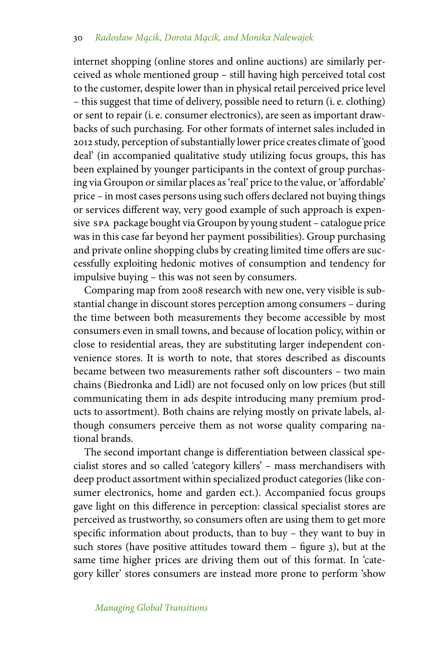internet shopping (online stores and online auctions) are similarly perceived as whole mentioned group – still having high perceived total cost to the customer, despite lower than in physical retail perceived price level – this suggest that time of delivery, possible need to return (i. e. clothing) or sent to repair (i. e. consumer electronics), are seen as important drawbacks of such purchasing. For other formats of internet sales included in 2012 study, perception of substantially lower price creates climate of 'good deal' (in accompanied qualitative study utilizing focus groups, this has been explained by younger participants in the context of group purchasing via Groupon or similar places as 'real' price to the value, or 'affordable' price – in most cases persons using such offers declared not buying things or services different way, very good example of such approach is expensive spa package bought via Groupon by young student – catalogue price was in this case far beyond her payment possibilities). Group purchasing and private online shopping clubs by creating limited time offers are successfully exploiting hedonic motives of consumption and tendency for impulsive buying – this was not seen by consumers.

Comparing map from 2008 research with new one, very visible is substantial change in discount stores perception among consumers – during the time between both measurements they become accessible by most consumers even in small towns, and because of location policy, within or close to residential areas, they are substituting larger independent convenience stores. It is worth to note, that stores described as discounts became between two measurements rather soft discounters – two main chains (Biedronka and Lidl) are not focused only on low prices (but still communicating them in ads despite introducing many premium products to assortment). Both chains are relying mostly on private labels, although consumers perceive them as not worse quality comparing national brands.

The second important change is differentiation between classical specialist stores and so called 'category killers' – mass merchandisers with deep product assortment within specialized product categories (like consumer electronics, home and garden ect.). Accompanied focus groups gave light on this difference in perception: classical specialist stores are perceived as trustworthy, so consumers often are using them to get more specific information about products, than to buy – they want to buy in such stores (have positive attitudes toward them – figure 3), but at the same time higher prices are driving them out of this format. In 'category killer' stores consumers are instead more prone to perform 'show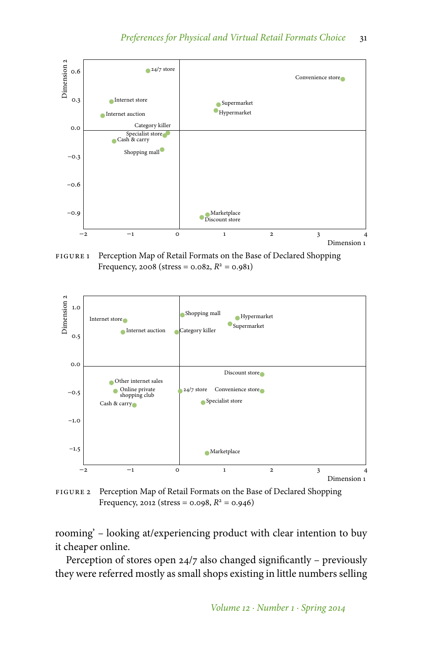

FIGURE 1 Perception Map of Retail Formats on the Base of Declared Shopping Frequency, 2008 (stress = 0.082,  $R^2$  = 0.981)



FIGURE 2 Perception Map of Retail Formats on the Base of Declared Shopping Frequency, 2012 (stress = 0.098,  $R^2$  = 0.946)

rooming' – looking at/experiencing product with clear intention to buy it cheaper online.

Perception of stores open 24/7 also changed significantly – previously they were referred mostly as small shops existing in little numbers selling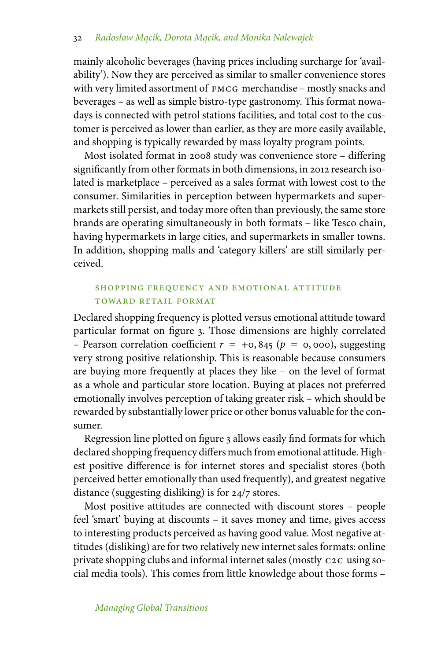### 32 *Radosław M˛acik, Dorota M˛acik, and Monika Nalewajek*

mainly alcoholic beverages (having prices including surcharge for 'availability'). Now they are perceived as similar to smaller convenience stores with very limited assortment of FMCG merchandise – mostly snacks and beverages – as well as simple bistro-type gastronomy. This format nowadays is connected with petrol stations facilities, and total cost to the customer is perceived as lower than earlier, as they are more easily available, and shopping is typically rewarded by mass loyalty program points.

Most isolated format in 2008 study was convenience store – differing significantly from other formats in both dimensions, in 2012 research isolated is marketplace – perceived as a sales format with lowest cost to the consumer. Similarities in perception between hypermarkets and supermarkets still persist, and today more often than previously, the same store brands are operating simultaneously in both formats – like Tesco chain, having hypermarkets in large cities, and supermarkets in smaller towns. In addition, shopping malls and 'category killers' are still similarly perceived.

# shopping frequency and emotional attitude toward retail format

Declared shopping frequency is plotted versus emotional attitude toward particular format on figure 3. Those dimensions are highly correlated – Pearson correlation coefficient  $r = +0, 845$  ( $p = 0, 000$ ), suggesting very strong positive relationship. This is reasonable because consumers are buying more frequently at places they like – on the level of format as a whole and particular store location. Buying at places not preferred emotionally involves perception of taking greater risk – which should be rewarded by substantially lower price or other bonus valuable for the consumer.

Regression line plotted on figure 3 allows easily find formats for which declared shopping frequency differs much from emotional attitude. Highest positive difference is for internet stores and specialist stores (both perceived better emotionally than used frequently), and greatest negative distance (suggesting disliking) is for 24/7 stores.

Most positive attitudes are connected with discount stores – people feel 'smart' buying at discounts – it saves money and time, gives access to interesting products perceived as having good value. Most negative attitudes (disliking) are for two relatively new internet sales formats: online private shopping clubs and informal internet sales (mostly c2c using social media tools). This comes from little knowledge about those forms –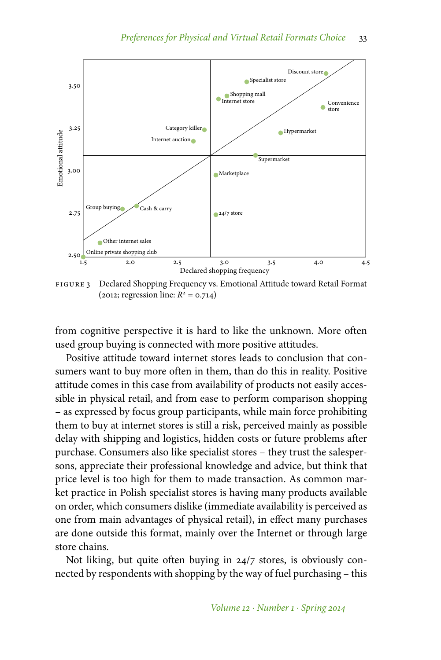

FIGURE 3 Declared Shopping Frequency vs. Emotional Attitude toward Retail Format  $(2012;$  regression line:  $R^2 = 0.714$ )

from cognitive perspective it is hard to like the unknown. More often used group buying is connected with more positive attitudes.

Positive attitude toward internet stores leads to conclusion that consumers want to buy more often in them, than do this in reality. Positive attitude comes in this case from availability of products not easily accessible in physical retail, and from ease to perform comparison shopping – as expressed by focus group participants, while main force prohibiting them to buy at internet stores is still a risk, perceived mainly as possible delay with shipping and logistics, hidden costs or future problems after purchase. Consumers also like specialist stores – they trust the salespersons, appreciate their professional knowledge and advice, but think that price level is too high for them to made transaction. As common market practice in Polish specialist stores is having many products available on order, which consumers dislike (immediate availability is perceived as one from main advantages of physical retail), in effect many purchases are done outside this format, mainly over the Internet or through large store chains.

Not liking, but quite often buying in 24/7 stores, is obviously connected by respondents with shopping by the way of fuel purchasing – this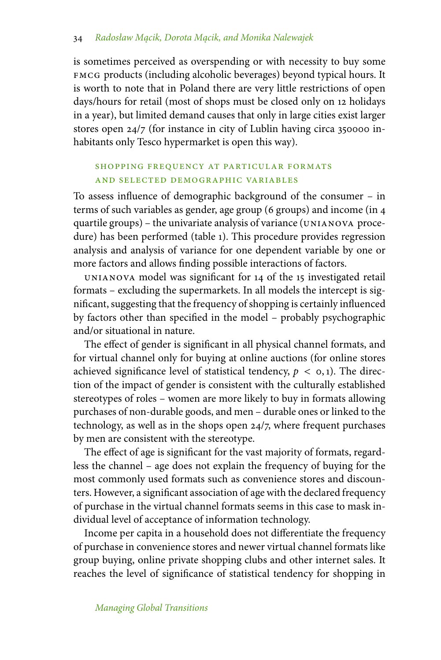is sometimes perceived as overspending or with necessity to buy some fmcg products (including alcoholic beverages) beyond typical hours. It is worth to note that in Poland there are very little restrictions of open days/hours for retail (most of shops must be closed only on 12 holidays in a year), but limited demand causes that only in large cities exist larger stores open 24/7 (for instance in city of Lublin having circa 350000 inhabitants only Tesco hypermarket is open this way).

# SHOPPING FREQUENCY AT PARTICULAR FORMATS and selected demographic variables

To assess influence of demographic background of the consumer – in terms of such variables as gender, age group (6 groups) and income (in 4 quartile groups) – the univariate analysis of variance (unianova procedure) has been performed (table 1). This procedure provides regression analysis and analysis of variance for one dependent variable by one or more factors and allows finding possible interactions of factors.

unianova model was significant for 14 of the 15 investigated retail formats – excluding the supermarkets. In all models the intercept is significant, suggesting that the frequency of shopping is certainly influenced by factors other than specified in the model – probably psychographic and/or situational in nature.

The effect of gender is significant in all physical channel formats, and for virtual channel only for buying at online auctions (for online stores achieved significance level of statistical tendency,  $p < 0, 1$ ). The direction of the impact of gender is consistent with the culturally established stereotypes of roles – women are more likely to buy in formats allowing purchases of non-durable goods, and men – durable ones or linked to the technology, as well as in the shops open 24/7, where frequent purchases by men are consistent with the stereotype.

The effect of age is significant for the vast majority of formats, regardless the channel – age does not explain the frequency of buying for the most commonly used formats such as convenience stores and discounters. However, a significant association of age with the declared frequency of purchase in the virtual channel formats seems in this case to mask individual level of acceptance of information technology.

Income per capita in a household does not differentiate the frequency of purchase in convenience stores and newer virtual channel formats like group buying, online private shopping clubs and other internet sales. It reaches the level of significance of statistical tendency for shopping in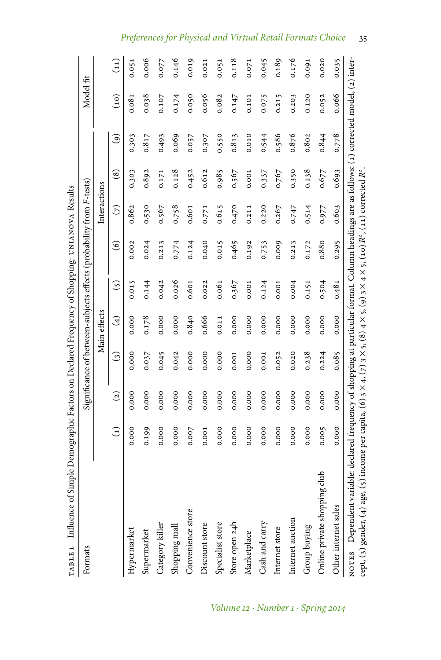| TABLE 1 Influence of Simple Demographic Factors on Declared Frequency of Shopping: UNIANOVA Results                                                                                                                                                                                       |               |                |         |               |       |                                                                     |               |                        |               |                |                   |
|-------------------------------------------------------------------------------------------------------------------------------------------------------------------------------------------------------------------------------------------------------------------------------------------|---------------|----------------|---------|---------------|-------|---------------------------------------------------------------------|---------------|------------------------|---------------|----------------|-------------------|
| Formats                                                                                                                                                                                                                                                                                   |               |                |         |               |       | Significance of between-subjects effects (probability from F-tests) |               |                        |               | Model fit      |                   |
|                                                                                                                                                                                                                                                                                           |               |                |         | Main effects  |       |                                                                     | Interactions  |                        |               |                |                   |
|                                                                                                                                                                                                                                                                                           | $\widehat{E}$ | $\overline{c}$ | $\odot$ | $\widehat{t}$ | 5)    | $\widehat{\circ}$                                                   | $\widehat{C}$ | $\overset{\circ}{(8)}$ | $\widehat{e}$ | $\binom{0}{1}$ | $\left(11\right)$ |
| Hypermarket                                                                                                                                                                                                                                                                               | 0.000         | 0.000          | 0.000   | 0.000         | 0.015 | 0.002                                                               | 0.862         | 0.303                  | 0.303         | 0.081          | 0.051             |
| Supermarket                                                                                                                                                                                                                                                                               | 0.199         | 0.000          | 0.037   | 0.178         | 0.144 | 0.024                                                               | 0.530         | 0.892                  | 0.817         | 0.038          | 0.006             |
| Category killer                                                                                                                                                                                                                                                                           | 0.000         | 0.000          | 0.045   | 0.000         | 0.042 | 0.213                                                               | 0.567         | 0.171                  | 0.493         | 0.107          | 0.077             |
| Shopping mall                                                                                                                                                                                                                                                                             | 0.000         | 0.000          | 0.042   | 0.000         | 0.026 | 0.774                                                               | 0.758         | 0.128                  | 0.069         | 0.174          | 0.146             |
| Convenience store                                                                                                                                                                                                                                                                         | 0.007         | 0.000          | 0.000   | 0.840         | 0.601 | 0.124                                                               | 0.601         | 0.452                  | 0.057         | 0.050          | 0.019             |
| Discount store                                                                                                                                                                                                                                                                            | 0.001         | 0.000          | 0.000   | 0.666         | 0.022 | 0.040                                                               | 0.771         | 0.612                  | 0.307         | 0.056          | 0.021             |
| Specialist store                                                                                                                                                                                                                                                                          | 0.000         | 0.000          | 0.000   | 0.011         | 0.061 | 0.015                                                               | 0.615         | 0.985                  | 0.550         | 0.082          | 0.051             |
| Store open 24h                                                                                                                                                                                                                                                                            | 0.000         | 0.000          | 0.001   | 0.000         | 0.367 | 0.465                                                               | 0.470         | 0.567                  | 0.813         | 0.147          | 0.118             |
| Marketplace                                                                                                                                                                                                                                                                               | 0.000         | 0.000          | 0.000   | 0.000         | 0.001 | 0.192                                                               | 0.211         | 0.001                  | 0.010         | 0.101          | 0.071             |
| Cash and carry                                                                                                                                                                                                                                                                            | 0.000         | 0.000          | 0.001   | 0.000         | 0.124 | 0.753                                                               | 0.220         | 0.337                  | 0.544         | 0.075          | 0.045             |
| Internet store                                                                                                                                                                                                                                                                            | 0.000         | 0.000          | 0.052   | 0.000         | 0.001 | 0.009                                                               | 0.267         | 0.767                  | 0.586         | 0.215          | 0.189             |
| Internet auction                                                                                                                                                                                                                                                                          | 0.000         | 0.000          | 0.020   | 0.000         | 0.004 | 0.213                                                               | 0.747         | 0.350                  | 0.876         | 0.203          | 0.176             |
| Group buying                                                                                                                                                                                                                                                                              | 0.000         | 0.000          | 0.238   | 0.000         | 0.151 | 0.172                                                               | 0.514         | 0.138                  | 0.802         | 0.120          | 0.091             |
| Online private shopping club                                                                                                                                                                                                                                                              | 0.005         | 0.000          | 0.224   | 0.000         | 0.504 | 0.880                                                               | 0.977         | 0.677                  | 0.844         | 0.052          | 0.020             |
| Other internet sales                                                                                                                                                                                                                                                                      | 0.000         | 0.000          | 0.085   | 0.000         | 0.481 | 0.295                                                               | 0.603         | 0.693                  | 0.778         | 0.066          | 0.035             |
| NOTES Dependent variable: declared frequency of shopping at particular format. Column headings are as follows: (1) corrected model, (2) inter-<br>ge, (5) income per capita, (6) 3 × 4, (7) 3 × 5, (8) 4 × 5, (9) 3 × 4 × 5, (10) $R^2$ , (11) corrected $R^2$<br>cept, (3) gender, (4) a |               |                |         |               |       |                                                                     |               |                        |               |                |                   |

*Preferences for Physical and Virtual Retail Formats Choice* 35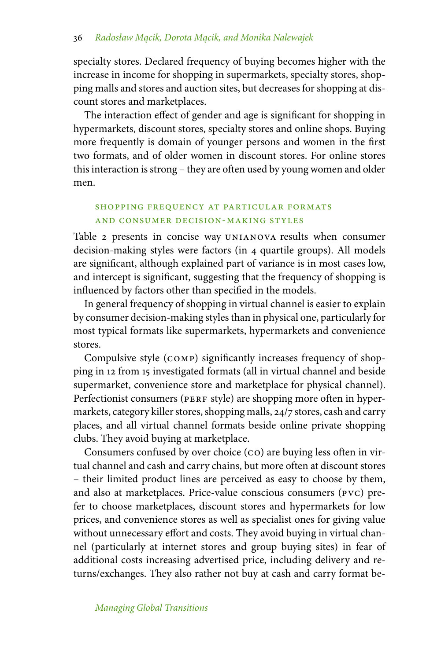specialty stores. Declared frequency of buying becomes higher with the increase in income for shopping in supermarkets, specialty stores, shopping malls and stores and auction sites, but decreases for shopping at discount stores and marketplaces.

The interaction effect of gender and age is significant for shopping in hypermarkets, discount stores, specialty stores and online shops. Buying more frequently is domain of younger persons and women in the first two formats, and of older women in discount stores. For online stores this interaction is strong – they are often used by young women and older men.

# SHOPPING FREQUENCY AT PARTICULAR FORMATS and consumer decision-making styles

Table 2 presents in concise way UNIANOVA results when consumer decision-making styles were factors (in 4 quartile groups). All models are significant, although explained part of variance is in most cases low, and intercept is significant, suggesting that the frequency of shopping is influenced by factors other than specified in the models.

In general frequency of shopping in virtual channel is easier to explain by consumer decision-making styles than in physical one, particularly for most typical formats like supermarkets, hypermarkets and convenience stores.

Compulsive style (comp) significantly increases frequency of shopping in 12 from 15 investigated formats (all in virtual channel and beside supermarket, convenience store and marketplace for physical channel). Perfectionist consumers (PERF style) are shopping more often in hypermarkets, category killer stores, shopping malls, 24/7 stores, cash and carry places, and all virtual channel formats beside online private shopping clubs. They avoid buying at marketplace.

Consumers confused by over choice (co) are buying less often in virtual channel and cash and carry chains, but more often at discount stores – their limited product lines are perceived as easy to choose by them, and also at marketplaces. Price-value conscious consumers (pvc) prefer to choose marketplaces, discount stores and hypermarkets for low prices, and convenience stores as well as specialist ones for giving value without unnecessary effort and costs. They avoid buying in virtual channel (particularly at internet stores and group buying sites) in fear of additional costs increasing advertised price, including delivery and returns/exchanges. They also rather not buy at cash and carry format be-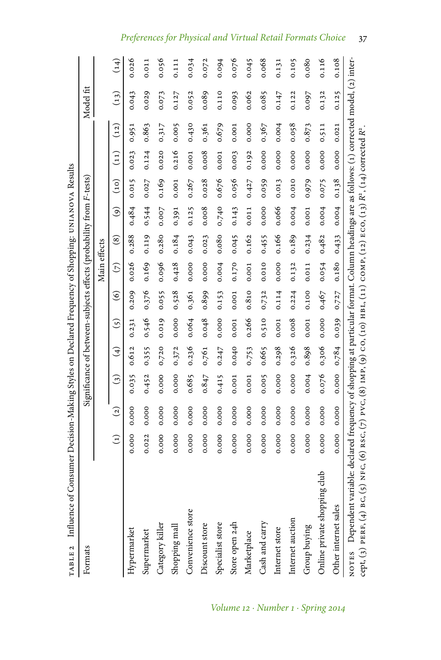| of Consumer Decision-Making Styles on Declared Frequency of Shopping: UNIANOVA Results<br>TABLE 2 Influence                                                                                                                                                                                                |               |                |                                                                     |                            |                           |                |               |                        |                    |       |                                               |       |           |       |
|------------------------------------------------------------------------------------------------------------------------------------------------------------------------------------------------------------------------------------------------------------------------------------------------------------|---------------|----------------|---------------------------------------------------------------------|----------------------------|---------------------------|----------------|---------------|------------------------|--------------------|-------|-----------------------------------------------|-------|-----------|-------|
| Formats                                                                                                                                                                                                                                                                                                    |               |                | Significance of between-subjects effects (probability from F-tests) |                            |                           |                |               |                        |                    |       |                                               |       | Model fit |       |
|                                                                                                                                                                                                                                                                                                            |               |                |                                                                     |                            |                           |                | Main effects  |                        |                    |       |                                               |       |           |       |
|                                                                                                                                                                                                                                                                                                            | $\widehat{E}$ | $\overline{c}$ | $\odot$                                                             | $\left(\frac{1}{2}\right)$ | $\widetilde{\mathcal{E}}$ | $\circledcirc$ | $\widehat{C}$ | $\widehat{\mathbf{s}}$ | $\widehat{\Theta}$ | (01)  | $\begin{pmatrix} 1 & 1 \ 1 & 1 \end{pmatrix}$ | (12)  | (13)      | (14)  |
| Hypermarket                                                                                                                                                                                                                                                                                                | 0.000         | 0.000          | 0.035                                                               | 0.612                      | 0.231                     | 0.209          | 0.026         | 0.288                  | 0.484              | 0.015 | 0.023                                         | 0.951 | 0.043     | 0.026 |
| Supermarket                                                                                                                                                                                                                                                                                                | 0.022         | 0.000          | 0.452                                                               | 0.355                      | 0.546                     | 0.376          | 0.169         | 0.119                  | 0.544              | 0.027 | 0.124                                         | 0.863 | 0.029     | 0.011 |
| Category killer                                                                                                                                                                                                                                                                                            | 0.000         | 0.000          | 0.000                                                               | 0.720                      | 0.019                     | 0.055          | 0.096         | 0.280                  | 0.007              | 0.169 | 0.020                                         | 0.317 | 0.073     | 0.056 |
| Shopping mall                                                                                                                                                                                                                                                                                              | 0.000         | 0.000          | 0.000                                                               | 0.372                      | 0.000                     | 0.528          | 0.428         | 0.184                  | 0.391              | 0.001 | 0.216                                         | 0.005 | 0.127     | 0.111 |
| Convenience store                                                                                                                                                                                                                                                                                          | 0.000         | 0.000          | 0.685                                                               | 0.236                      | 0.064                     | 0.361          | 0.000         | 0.043                  | 0.125              | 0.267 | 0.001                                         | 0.430 | 0.052     | 0.034 |
| Discount store                                                                                                                                                                                                                                                                                             | 0.000         | 0.000          | 0.847                                                               | 0.761                      | 0.048                     | 0.899          | 0.000         | 0.023                  | 0.008              | 0.028 | 0.008                                         | 0.361 | 0.089     | 0.072 |
| Specialist store                                                                                                                                                                                                                                                                                           | 0.000         | 0.000          | 0.415                                                               | 0.247                      | 0.000                     | 0.153          | 0.004         | 0.080                  | 0.740              | 0.676 | 0.001                                         | 0.679 | 0.110     | 0.094 |
| Store open 24h                                                                                                                                                                                                                                                                                             | 0.000         | 0.000          | 0.001                                                               | 0.040                      | 0.001                     | 0.001          | 0.170         | 0.045                  | 0.143              | 0.056 | 0.003                                         | 0.001 | 0.093     | 0.076 |
| Marketplace                                                                                                                                                                                                                                                                                                | 0.000         | 0.000          | 0.001                                                               | 0.753                      | 0.266                     | 0.810          | 0.001         | 0.162                  | 0.011              | 0.427 | 0.192                                         | 0.000 | 0.062     | 0.045 |
| Cash and carry                                                                                                                                                                                                                                                                                             | 0.000         | 0.000          | 0.005                                                               | 0.665                      | 0.510                     | 0.732          | 0.010         | 0.455                  | 0.000              | 0.059 | 0.000                                         | 0.367 | 0.085     | 0.068 |
| Internet store                                                                                                                                                                                                                                                                                             | 0.000         | 0.000          | 0.000                                                               | 0.298                      | 0.001                     | 0.114          | 0.000         | 0.166                  | 0.066              | 0.013 | 0.000                                         | 0.004 | 0.147     | 0.131 |
| Internet auction                                                                                                                                                                                                                                                                                           | 0.000         | 0.000          | 0.000                                                               | 0.326                      | 0.008                     | 0.224          | 0.132         | 0.189                  | 0.004              | 0.010 | 0.000                                         | 0.058 | 0.122     | 0.105 |
| Group buying                                                                                                                                                                                                                                                                                               | 0.000         | 0.000          | 0.004                                                               | 0.898                      | 0.001                     | 0.100          | 0.011         | 0.234                  | 0.001              | 0.979 | 0.000                                         | 0.873 | 0.097     | 0.080 |
| Online private shopping club                                                                                                                                                                                                                                                                               | 0.000         | 0.000          | 0.076                                                               | 0.306                      | 0.000                     | 0.467          | 0.054         | 0.482                  | 0.004              | 0.075 | 0.000                                         | 0.511 | 0.132     | 0.116 |
| Other internet sales                                                                                                                                                                                                                                                                                       | 0.000         | 0.000          | 0.000                                                               | 0.784                      | 0.039                     | 0.727          | 0.180         | 0.433                  | 0.004              | 0.138 | 0.000                                         | 0.021 | 0.125     | 0.108 |
| NOTES Dependent variable: declared frequency of shopping at particular format. Column headings are as follows: (1) corrected model, (2) inter-<br>cept, (3) PERF, (4) BC, (5) NFC, (6) RSC, (7) PVC, (8) IMP, (9) CO, (10) HBL, (11) COMP, (12) ECO, (13) R <sup>2</sup> , (14) corrected R <sup>2</sup> . |               |                |                                                                     |                            |                           |                |               |                        |                    |       |                                               |       |           |       |

# *Preferences for Physical and Virtual Retail Formats Choice* 37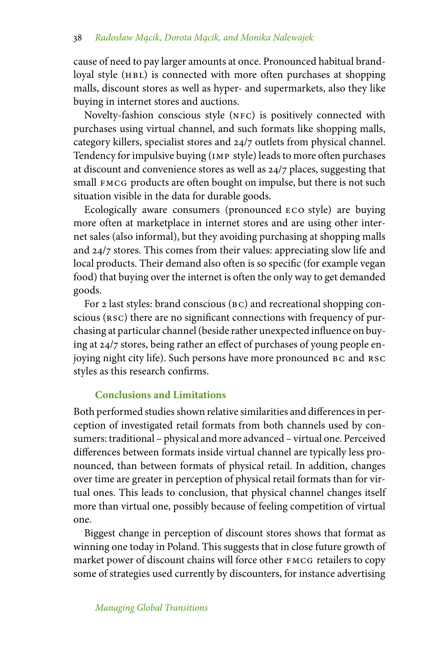cause of need to pay larger amounts at once. Pronounced habitual brandloyal style (HBL) is connected with more often purchases at shopping malls, discount stores as well as hyper- and supermarkets, also they like buying in internet stores and auctions.

Novelty-fashion conscious style (nfc) is positively connected with purchases using virtual channel, and such formats like shopping malls, category killers, specialist stores and 24/7 outlets from physical channel. Tendency for impulsive buying (imp style) leads to more often purchases at discount and convenience stores as well as 24/7 places, suggesting that small FMCG products are often bought on impulse, but there is not such situation visible in the data for durable goods.

Ecologically aware consumers (pronounced eco style) are buying more often at marketplace in internet stores and are using other internet sales (also informal), but they avoiding purchasing at shopping malls and 24/7 stores. This comes from their values: appreciating slow life and local products. Their demand also often is so specific (for example vegan food) that buying over the internet is often the only way to get demanded goods.

For 2 last styles: brand conscious (BC) and recreational shopping conscious (RSC) there are no significant connections with frequency of purchasing at particular channel (beside rather unexpected influence on buying at 24/7 stores, being rather an effect of purchases of young people enjoying night city life). Such persons have more pronounced bc and rsc styles as this research confirms.

# **Conclusions and Limitations**

Both performed studies shown relative similarities and differences in perception of investigated retail formats from both channels used by consumers: traditional – physical and more advanced – virtual one. Perceived differences between formats inside virtual channel are typically less pronounced, than between formats of physical retail. In addition, changes over time are greater in perception of physical retail formats than for virtual ones. This leads to conclusion, that physical channel changes itself more than virtual one, possibly because of feeling competition of virtual one.

Biggest change in perception of discount stores shows that format as winning one today in Poland. This suggests that in close future growth of market power of discount chains will force other FMCG retailers to copy some of strategies used currently by discounters, for instance advertising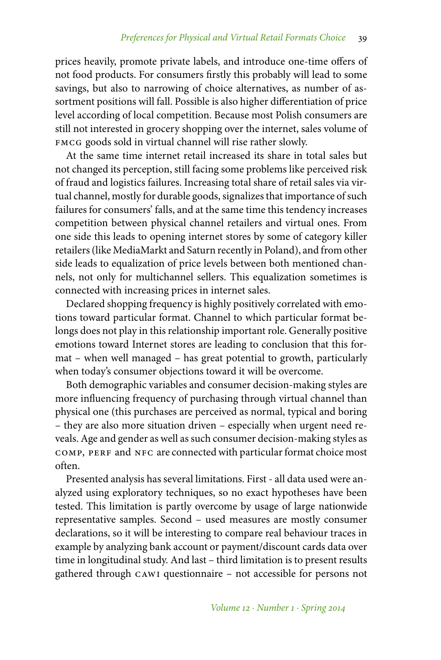prices heavily, promote private labels, and introduce one-time offers of not food products. For consumers firstly this probably will lead to some savings, but also to narrowing of choice alternatives, as number of assortment positions will fall. Possible is also higher differentiation of price level according of local competition. Because most Polish consumers are still not interested in grocery shopping over the internet, sales volume of FMCG goods sold in virtual channel will rise rather slowly.

At the same time internet retail increased its share in total sales but not changed its perception, still facing some problems like perceived risk of fraud and logistics failures. Increasing total share of retail sales via virtual channel, mostly for durable goods, signalizes that importance of such failures for consumers' falls, and at the same time this tendency increases competition between physical channel retailers and virtual ones. From one side this leads to opening internet stores by some of category killer retailers (like MediaMarkt and Saturn recently in Poland), and from other side leads to equalization of price levels between both mentioned channels, not only for multichannel sellers. This equalization sometimes is connected with increasing prices in internet sales.

Declared shopping frequency is highly positively correlated with emotions toward particular format. Channel to which particular format belongs does not play in this relationship important role. Generally positive emotions toward Internet stores are leading to conclusion that this format – when well managed – has great potential to growth, particularly when today's consumer objections toward it will be overcome.

Both demographic variables and consumer decision-making styles are more influencing frequency of purchasing through virtual channel than physical one (this purchases are perceived as normal, typical and boring – they are also more situation driven – especially when urgent need reveals. Age and gender as well as such consumer decision-making styles as comp, perf and nfc are connected with particular format choice most often.

Presented analysis has several limitations. First - all data used were analyzed using exploratory techniques, so no exact hypotheses have been tested. This limitation is partly overcome by usage of large nationwide representative samples. Second – used measures are mostly consumer declarations, so it will be interesting to compare real behaviour traces in example by analyzing bank account or payment/discount cards data over time in longitudinal study. And last – third limitation is to present results gathered through cawi questionnaire – not accessible for persons not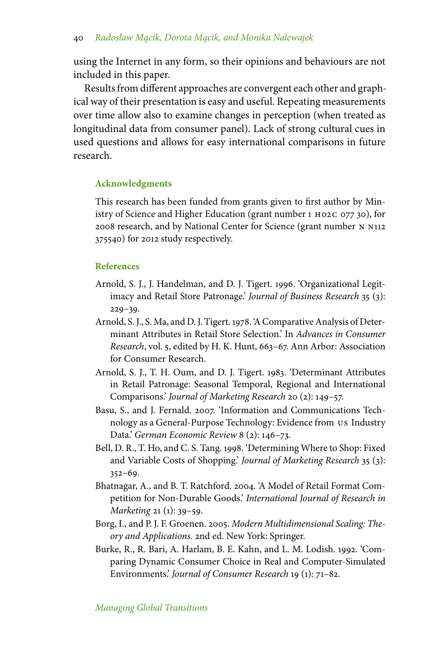using the Internet in any form, so their opinions and behaviours are not included in this paper.

Results from different approaches are convergent each other and graphical way of their presentation is easy and useful. Repeating measurements over time allow also to examine changes in perception (when treated as longitudinal data from consumer panel). Lack of strong cultural cues in used questions and allows for easy international comparisons in future research.

#### **Acknowledgments**

This research has been funded from grants given to first author by Ministry of Science and Higher Education (grant number 1 h02c 077 30), for 2008 research, and by National Center for Science (grant number n n112 375540) for 2012 study respectively.

#### **References**

- Arnold, S. J., J. Handelman, and D. J. Tigert. 1996. 'Organizational Legitimacy and Retail Store Patronage.' *Journal of Business Research* 35 (3):  $229 - 39.$
- Arnold, S. J., S. Ma, and D. J. Tigert. 1978. 'A Comparative Analysis of Determinant Attributes in Retail Store Selection.' In *Advances in Consumer Research*, vol. 5, edited by H. K. Hunt, 663–67. Ann Arbor: Association for Consumer Research.
- Arnold, S. J., T. H. Oum, and D. J. Tigert. 1983. 'Determinant Attributes in Retail Patronage: Seasonal Temporal, Regional and International Comparisons.' *Journal of Marketing Research* 20 (2): 149–57.
- Basu, S., and J. Fernald. 2007. 'Information and Communications Technology as a General-Purpose Technology: Evidence from us Industry Data.' *German Economic Review* 8 (2): 146–73.
- Bell, D. R., T. Ho, and C. S. Tang. 1998. 'Determining Where to Shop: Fixed and Variable Costs of Shopping.' *Journal of Marketing Research* 35 (3): 352–69.
- Bhatnagar, A., and B. T. Ratchford. 2004. 'A Model of Retail Format Competition for Non-Durable Goods.' *International Journal of Research in Marketing* 21 (1): 39–59.
- Borg, I., and P. J. F. Groenen. 2005. *Modern Multidimensional Scaling: Theory and Applications.* 2nd ed. New York: Springer.
- Burke, R., R. Bari, A. Harlam, B. E. Kahn, and L. M. Lodish. 1992. 'Comparing Dynamic Consumer Choice in Real and Computer-Simulated Environments.' *Journal of Consumer Research* 19 (1): 71–82.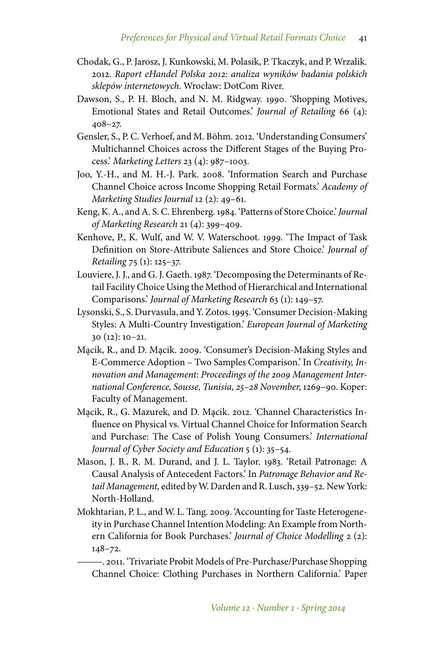- Chodak, G., P. Jarosz, J. Kunkowski, M. Polasik, P. Tkaczyk, and P. Wrzalik. 2012. *Raport eHandel Polska 2012: analiza wyników badania polskich sklepów internetowych.* Wrocław: DotCom River.
- Dawson, S., P. H. Bloch, and N. M. Ridgway. 1990. 'Shopping Motives, Emotional States and Retail Outcomes.' *Journal of Retailing* 66 (4): 408–27.
- Gensler, S., P. C. Verhoef, and M. Böhm. 2012. 'Understanding Consumers' Multichannel Choices across the Different Stages of the Buying Process.' *Marketing Letters* 23 (4): 987–1003.
- Joo, Y.-H., and M. H.-J. Park. 2008. 'Information Search and Purchase Channel Choice across Income Shopping Retail Formats.' *Academy of Marketing Studies Journal* 12 (2): 49–61.
- Keng, K. A., and A. S. C. Ehrenberg. 1984. 'Patterns of Store Choice.' *Journal of Marketing Research* 21 (4): 399–409.
- Kenhove, P., K. Wulf, and W. V. Waterschoot. 1999. 'The Impact of Task Definition on Store-Attribute Saliences and Store Choice.' *Journal of Retailing* 75 (1): 125–37.
- Louviere, J. J., and G. J. Gaeth. 1987. 'Decomposing the Determinants of Retail Facility Choice Using the Method of Hierarchical and International Comparisons.' *Journal of Marketing Research* 63 (1): 149–57.
- Lysonski, S., S. Durvasula, and Y. Zotos. 1995. 'Consumer Decision-Making Styles: A Multi-Country Investigation.' *European Journal of Marketing* 30 (12): 10–21.
- Mącik, R., and D. Mącik. 2009. 'Consumer's Decision-Making Styles and E-Commerce Adoption – Two Samples Comparison.' In *Creativity, Innovation and Management: Proceedings of the 2009 Management International Conference, Sousse, Tunisia, 25–28 November,* 1269–90. Koper: Faculty of Management.
- Mącik, R., G. Mazurek, and D. Mącik. 2012. 'Channel Characteristics Influence on Physical vs. Virtual Channel Choice for Information Search and Purchase: The Case of Polish Young Consumers.' *International Journal of Cyber Society and Education* 5 (1): 35–54.
- Mason, J. B., R. M. Durand, and J. L. Taylor. 1983. 'Retail Patronage: A Causal Analysis of Antecedent Factors.' In *Patronage Behavior and Retail Management,* edited byW. Darden and R. Lusch, 339–52. New York: North-Holland.
- Mokhtarian, P. L., and W. L. Tang. 2009. 'Accounting for Taste Heterogeneity in Purchase Channel Intention Modeling: An Example from Northern California for Book Purchases.' *Journal of Choice Modelling* 2 (2): 148–72.

-. 2011. 'Trivariate Probit Models of Pre-Purchase/Purchase Shopping Channel Choice: Clothing Purchases in Northern California.' Paper